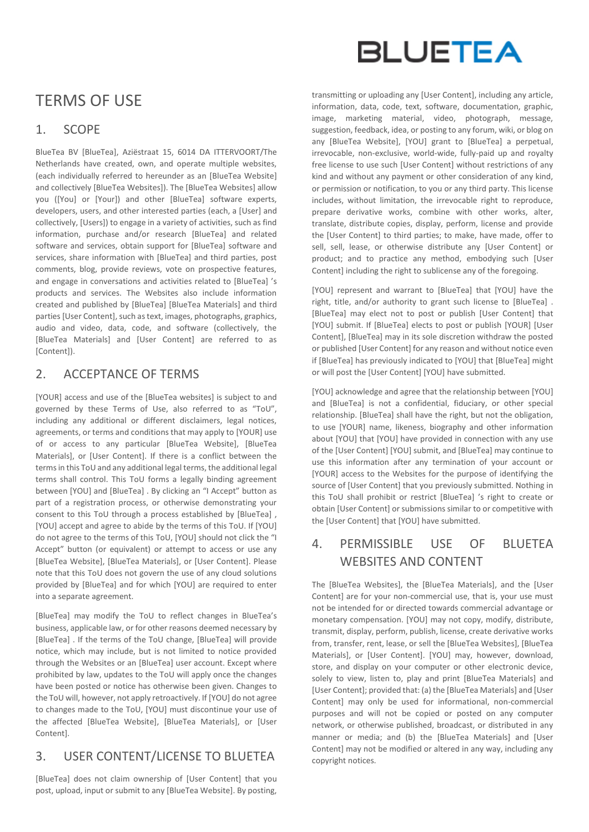# TERMS OF USE

### 1. SCOPE

BlueTea BV [BlueTea], Aziëstraat 15, 6014 DA ITTERVOORT/The Netherlands have created, own, and operate multiple websites, (each individually referred to hereunder as an [BlueTea Website] and collectively [BlueTea Websites]). The [BlueTea Websites] allow you ([You] or [Your]) and other [BlueTea] software experts, developers, users, and other interested parties (each, a [User] and collectively, [Users]) to engage in a variety of activities, such as find information, purchase and/or research [BlueTea] and related software and services, obtain support for [BlueTea] software and services, share information with [BlueTea] and third parties, post comments, blog, provide reviews, vote on prospective features, and engage in conversations and activities related to [BlueTea] 's products and services. The Websites also include information created and published by [BlueTea] [BlueTea Materials] and third parties [User Content], such as text, images, photographs, graphics, audio and video, data, code, and software (collectively, the [BlueTea Materials] and [User Content] are referred to as [Content]).

### 2. ACCEPTANCE OF TERMS

[YOUR] access and use of the [BlueTea websites] is subject to and governed by these Terms of Use, also referred to as "ToU", including any additional or different disclaimers, legal notices, agreements, or terms and conditions that may apply to [YOUR] use of or access to any particular [BlueTea Website], [BlueTea Materials], or [User Content]. If there is a conflict between the terms in this ToU and any additional legal terms, the additional legal terms shall control. This ToU forms a legally binding agreement between [YOU] and [BlueTea] . By clicking an "I Accept" button as part of a registration process, or otherwise demonstrating your consent to this ToU through a process established by [BlueTea] , [YOU] accept and agree to abide by the terms of this ToU. If [YOU] do not agree to the terms of this ToU, [YOU] should not click the "I Accept" button (or equivalent) or attempt to access or use any [BlueTea Website], [BlueTea Materials], or [User Content]. Please note that this ToU does not govern the use of any cloud solutions provided by [BlueTea] and for which [YOU] are required to enter into a separate agreement.

[BlueTea] may modify the ToU to reflect changes in BlueTea's business, applicable law, or for other reasons deemed necessary by [BlueTea] . If the terms of the ToU change, [BlueTea] will provide notice, which may include, but is not limited to notice provided through the Websites or an [BlueTea] user account. Except where prohibited by law, updates to the ToU will apply once the changes have been posted or notice has otherwise been given. Changes to the ToU will, however, not apply retroactively. If [YOU] do not agree to changes made to the ToU, [YOU] must discontinue your use of the affected [BlueTea Website], [BlueTea Materials], or [User Content].

# 3. USER CONTENT/LICENSE TO BLUETEA

[BlueTea] does not claim ownership of [User Content] that you post, upload, input or submit to any [BlueTea Website]. By posting,



transmitting or uploading any [User Content], including any article, information, data, code, text, software, documentation, graphic, image, marketing material, video, photograph, message, suggestion, feedback, idea, or posting to any forum, wiki, or blog on any [BlueTea Website], [YOU] grant to [BlueTea] a perpetual, irrevocable, non-exclusive, world-wide, fully-paid up and royalty free license to use such [User Content] without restrictions of any kind and without any payment or other consideration of any kind, or permission or notification, to you or any third party. This license includes, without limitation, the irrevocable right to reproduce, prepare derivative works, combine with other works, alter, translate, distribute copies, display, perform, license and provide the [User Content] to third parties; to make, have made, offer to sell, sell, lease, or otherwise distribute any IUser Contentl or product; and to practice any method, embodying such [User Content] including the right to sublicense any of the foregoing.

[YOU] represent and warrant to [BlueTea] that [YOU] have the right, title, and/or authority to grant such license to [BlueTea] . [BlueTea] may elect not to post or publish [User Content] that [YOU] submit. If [BlueTea] elects to post or publish [YOUR] [User Content], [BlueTea] may in its sole discretion withdraw the posted or published [User Content] for any reason and without notice even if [BlueTea] has previously indicated to [YOU] that [BlueTea] might or will post the [User Content] [YOU] have submitted.

[YOU] acknowledge and agree that the relationship between [YOU] and [BlueTea] is not a confidential, fiduciary, or other special relationship. [BlueTea] shall have the right, but not the obligation, to use [YOUR] name, likeness, biography and other information about [YOU] that [YOU] have provided in connection with any use of the [User Content] [YOU] submit, and [BlueTea] may continue to use this information after any termination of your account or [YOUR] access to the Websites for the purpose of identifying the source of IUser Contentl that you previously submitted. Nothing in this ToU shall prohibit or restrict [BlueTea] 's right to create or obtain [User Content] or submissions similar to or competitive with the [User Content] that [YOU] have submitted.

### 4. PERMISSIBLE USE OF BLUETEA WEBSITES AND CONTENT

The [BlueTea Websites], the [BlueTea Materials], and the [User Content] are for your non-commercial use, that is, your use must not be intended for or directed towards commercial advantage or monetary compensation. [YOU] may not copy, modify, distribute, transmit, display, perform, publish, license, create derivative works from, transfer, rent, lease, or sell the [BlueTea Websites], [BlueTea Materials], or [User Content]. [YOU] may, however, download, store, and display on your computer or other electronic device, solely to view, listen to, play and print [BlueTea Materials] and [User Content]; provided that: (a) the [BlueTea Materials] and [User Content] may only be used for informational, non-commercial purposes and will not be copied or posted on any computer network, or otherwise published, broadcast, or distributed in any manner or media; and (b) the [BlueTea Materials] and [User Content] may not be modified or altered in any way, including any copyright notices.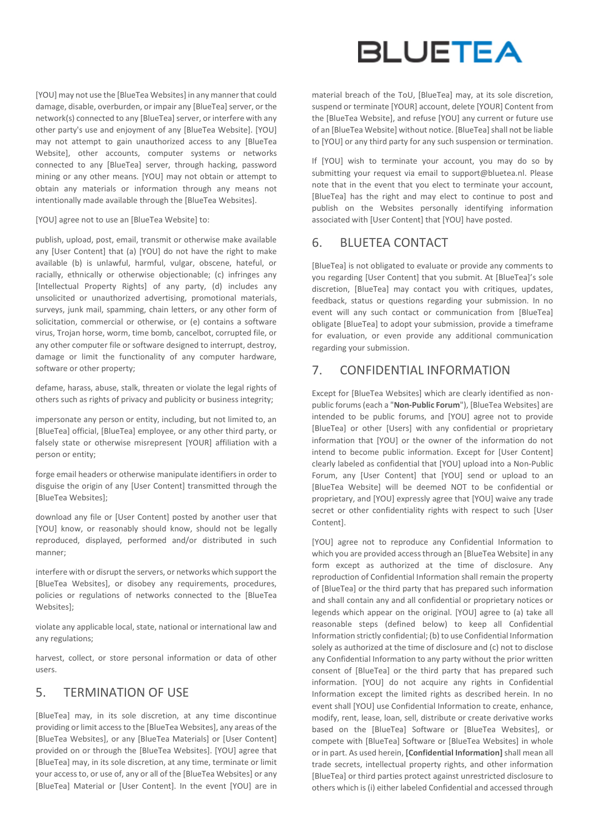[YOU] may not use the [BlueTea Websites] in any manner that could damage, disable, overburden, or impair any [BlueTea] server, or the network(s) connected to any [BlueTea] server, or interfere with any other party's use and enjoyment of any [BlueTea Website]. [YOU] may not attempt to gain unauthorized access to any [BlueTea Website], other accounts, computer systems or networks connected to any [BlueTea] server, through hacking, password mining or any other means. [YOU] may not obtain or attempt to obtain any materials or information through any means not intentionally made available through the [BlueTea Websites].

[YOU] agree not to use an [BlueTea Website] to:

publish, upload, post, email, transmit or otherwise make available any [User Content] that (a) [YOU] do not have the right to make available (b) is unlawful, harmful, vulgar, obscene, hateful, or racially, ethnically or otherwise objectionable; (c) infringes any [Intellectual Property Rights] of any party, (d) includes any unsolicited or unauthorized advertising, promotional materials, surveys, junk mail, spamming, chain letters, or any other form of solicitation, commercial or otherwise, or (e) contains a software virus, Trojan horse, worm, time bomb, cancelbot, corrupted file, or any other computer file or software designed to interrupt, destroy, damage or limit the functionality of any computer hardware, software or other property;

defame, harass, abuse, stalk, threaten or violate the legal rights of others such as rights of privacy and publicity or business integrity;

impersonate any person or entity, including, but not limited to, an [BlueTea] official, [BlueTea] employee, or any other third party, or falsely state or otherwise misrepresent [YOUR] affiliation with a person or entity;

forge email headers or otherwise manipulate identifiers in order to disguise the origin of any [User Content] transmitted through the [BlueTea Websites];

download any file or [User Content] posted by another user that [YOU] know, or reasonably should know, should not be legally reproduced, displayed, performed and/or distributed in such manner;

interfere with or disrupt the servers, or networks which support the [BlueTea Websites], or disobey any requirements, procedures, policies or regulations of networks connected to the [BlueTea Websites];

violate any applicable local, state, national or international law and any regulations;

harvest, collect, or store personal information or data of other users.

### 5. TERMINATION OF USE

[BlueTea] may, in its sole discretion, at any time discontinue providing or limit access to the [BlueTea Websites], any areas of the [BlueTea Websites], or any [BlueTea Materials] or [User Content] provided on or through the [BlueTea Websites]. [YOU] agree that [BlueTea] may, in its sole discretion, at any time, terminate or limit your access to, or use of, any or all of the [BlueTea Websites] or any [BlueTea] Material or [User Content]. In the event [YOU] are in



material breach of the ToU, [BlueTea] may, at its sole discretion, suspend or terminate [YOUR] account, delete [YOUR] Content from the [BlueTea Website], and refuse [YOU] any current or future use of an [BlueTea Website] without notice. [BlueTea] shall not be liable to [YOU] or any third party for any such suspension or termination.

If [YOU] wish to terminate your account, you may do so by submitting your request via email to support@bluetea.nl. Please note that in the event that you elect to terminate your account, [BlueTea] has the right and may elect to continue to post and publish on the Websites personally identifying information associated with [User Content] that [YOU] have posted.

### 6. BLUETEA CONTACT

[BlueTea] is not obligated to evaluate or provide any comments to you regarding [User Content] that you submit. At [BlueTea]'s sole discretion, [BlueTea] may contact you with critiques, updates, feedback, status or questions regarding your submission. In no event will any such contact or communication from [BlueTea] obligate [BlueTea] to adopt your submission, provide a timeframe for evaluation, or even provide any additional communication regarding your submission.

### 7. CONFIDENTIAL INFORMATION

Except for [BlueTea Websites] which are clearly identified as nonpublic forums (each a "**Non-Public Forum**"), [BlueTea Websites] are intended to be public forums, and [YOU] agree not to provide [BlueTea] or other [Users] with any confidential or proprietary information that [YOU] or the owner of the information do not intend to become public information. Except for [User Content] clearly labeled as confidential that [YOU] upload into a Non-Public Forum, any [User Content] that [YOU] send or upload to an [BlueTea Website] will be deemed NOT to be confidential or proprietary, and [YOU] expressly agree that [YOU] waive any trade secret or other confidentiality rights with respect to such [User Content].

[YOU] agree not to reproduce any Confidential Information to which you are provided access through an [BlueTea Website] in any form except as authorized at the time of disclosure. Any reproduction of Confidential Information shall remain the property of [BlueTea] or the third party that has prepared such information and shall contain any and all confidential or proprietary notices or legends which appear on the original. [YOU] agree to (a) take all reasonable steps (defined below) to keep all Confidential Information strictly confidential; (b) to use Confidential Information solely as authorized at the time of disclosure and (c) not to disclose any Confidential Information to any party without the prior written consent of [BlueTea] or the third party that has prepared such information. [YOU] do not acquire any rights in Confidential Information except the limited rights as described herein. In no event shall [YOU] use Confidential Information to create, enhance, modify, rent, lease, loan, sell, distribute or create derivative works based on the [BlueTea] Software or [BlueTea Websites], or compete with [BlueTea] Software or [BlueTea Websites] in whole or in part. As used herein, **[Confidential Information]**shall mean all trade secrets, intellectual property rights, and other information [BlueTea] or third parties protect against unrestricted disclosure to others which is (i) either labeled Confidential and accessed through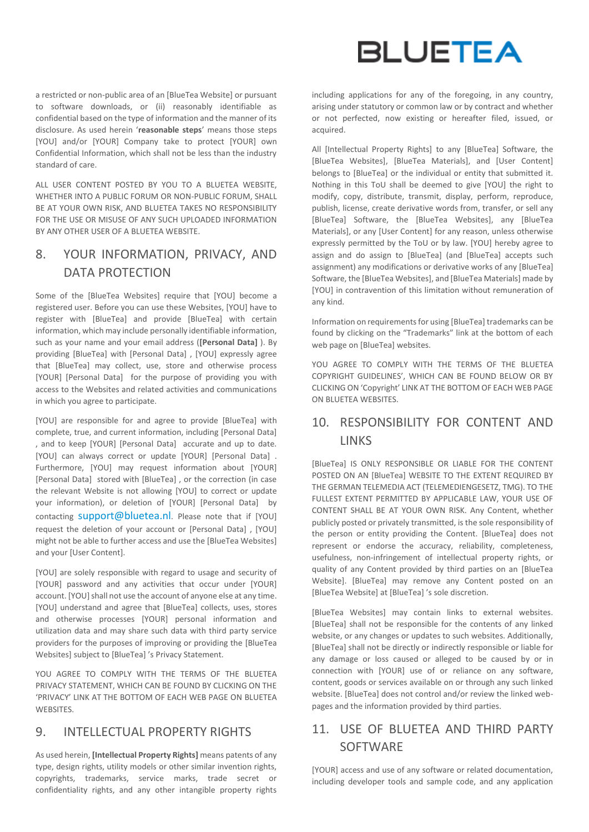a restricted or non-public area of an [BlueTea Website] or pursuant to software downloads, or (ii) reasonably identifiable as confidential based on the type of information and the manner of its disclosure. As used herein '**reasonable steps**' means those steps [YOU] and/or [YOUR] Company take to protect [YOUR] own Confidential Information, which shall not be less than the industry standard of care.

ALL USER CONTENT POSTED BY YOU TO A BLUETEA WEBSITE, WHETHER INTO A PUBLIC FORUM OR NON-PUBLIC FORUM, SHALL BE AT YOUR OWN RISK, AND BLUETEA TAKES NO RESPONSIBILITY FOR THE USE OR MISUSE OF ANY SUCH UPLOADED INFORMATION BY ANY OTHER USER OF A BLUETEA WEBSITE.

# 8. YOUR INFORMATION, PRIVACY, AND DATA PROTECTION

Some of the [BlueTea Websites] require that [YOU] become a registered user. Before you can use these Websites, [YOU] have to register with [BlueTea] and provide [BlueTea] with certain information, which may include personally identifiable information, such as your name and your email address (**[Personal Data]** ). By providing [BlueTea] with [Personal Data] , [YOU] expressly agree that [BlueTea] may collect, use, store and otherwise process [YOUR] [Personal Data] for the purpose of providing you with access to the Websites and related activities and communications in which you agree to participate.

[YOU] are responsible for and agree to provide [BlueTea] with complete, true, and current information, including [Personal Data] , and to keep [YOUR] [Personal Data] accurate and up to date. [YOU] can always correct or update [YOUR] [Personal Data] . Furthermore, [YOU] may request information about [YOUR] [Personal Data] stored with [BlueTea] , or the correction (in case the relevant Website is not allowing [YOU] to correct or update your information), or deletion of [YOUR] [Personal Data] by contacting **[support@bluetea.nl](mailto:support@bluetea.nl).** Please note that if [YOU] request the deletion of your account or [Personal Data] , [YOU] might not be able to further access and use the [BlueTea Websites] and your [User Content].

[YOU] are solely responsible with regard to usage and security of [YOUR] password and any activities that occur under [YOUR] account. [YOU] shall not use the account of anyone else at any time. [YOU] understand and agree that [BlueTea] collects, uses, stores and otherwise processes [YOUR] personal information and utilization data and may share such data with third party service providers for the purposes of improving or providing the [BlueTea Websites] subject to [BlueTea] 's Privacy Statement.

YOU AGREE TO COMPLY WITH THE TERMS OF THE BLUETEA PRIVACY STATEMENT, WHICH CAN BE FOUND BY CLICKING ON THE 'PRIVACY' LINK AT THE BOTTOM OF EACH WEB PAGE ON BLUETEA WEBSITES.

#### 9. INTELLECTUAL PROPERTY RIGHTS

As used herein, **[Intellectual Property Rights]** means patents of any type, design rights, utility models or other similar invention rights, copyrights, trademarks, service marks, trade secret or confidentiality rights, and any other intangible property rights



including applications for any of the foregoing, in any country, arising under statutory or common law or by contract and whether or not perfected, now existing or hereafter filed, issued, or acquired.

All [Intellectual Property Rights] to any [BlueTea] Software, the [BlueTea Websites], [BlueTea Materials], and [User Content] belongs to [BlueTea] or the individual or entity that submitted it. Nothing in this ToU shall be deemed to give [YOU] the right to modify, copy, distribute, transmit, display, perform, reproduce, publish, license, create derivative words from, transfer, or sell any [BlueTea] Software, the [BlueTea Websites], any [BlueTea Materials], or any [User Content] for any reason, unless otherwise expressly permitted by the ToU or by law. [YOU] hereby agree to assign and do assign to [BlueTea] (and [BlueTea] accepts such assignment) any modifications or derivative works of any [BlueTea] Software, the [BlueTea Websites], and [BlueTea Materials] made by [YOU] in contravention of this limitation without remuneration of any kind.

Information on requirements for using [BlueTea] trademarks can be found by clicking on the "Trademarks" link at the bottom of each web page on [BlueTea] websites.

YOU AGREE TO COMPLY WITH THE TERMS OF THE BLUETEA COPYRIGHT GUIDELINES', WHICH CAN BE FOUND BELOW OR BY CLICKING ON 'Copyright' LINK AT THE BOTTOM OF EACH WEB PAGE ON BLUETEA WEBSITES.

## 10. RESPONSIBILITY FOR CONTENT AND **LINKS**

[BlueTea] IS ONLY RESPONSIBLE OR LIABLE FOR THE CONTENT POSTED ON AN [BlueTea] WEBSITE TO THE EXTENT REQUIRED BY THE GERMAN TELEMEDIA ACT (TELEMEDIENGESETZ, TMG). TO THE FULLEST EXTENT PERMITTED BY APPLICABLE LAW, YOUR USE OF CONTENT SHALL BE AT YOUR OWN RISK. Any Content, whether publicly posted or privately transmitted, is the sole responsibility of the person or entity providing the Content. [BlueTea] does not represent or endorse the accuracy, reliability, completeness, usefulness, non-infringement of intellectual property rights, or quality of any Content provided by third parties on an [BlueTea Website]. [BlueTea] may remove any Content posted on an [BlueTea Website] at [BlueTea] 's sole discretion.

[BlueTea Websites] may contain links to external websites. [BlueTea] shall not be responsible for the contents of any linked website, or any changes or updates to such websites. Additionally, [BlueTea] shall not be directly or indirectly responsible or liable for any damage or loss caused or alleged to be caused by or in connection with [YOUR] use of or reliance on any software, content, goods or services available on or through any such linked website. [BlueTea] does not control and/or review the linked webpages and the information provided by third parties.

# 11. USE OF BLUETEA AND THIRD PARTY **SOFTWARE**

[YOUR] access and use of any software or related documentation, including developer tools and sample code, and any application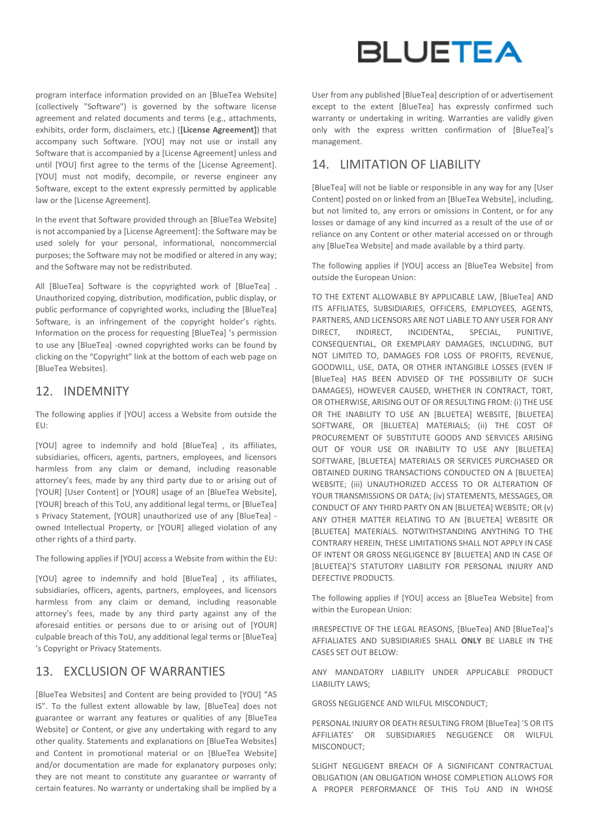program interface information provided on an [BlueTea Website] (collectively "Software") is governed by the software license agreement and related documents and terms (e.g., attachments, exhibits, order form, disclaimers, etc.) (**[License Agreement]**) that accompany such Software. [YOU] may not use or install any Software that is accompanied by a [License Agreement] unless and until [YOU] first agree to the terms of the [License Agreement]. [YOU] must not modify, decompile, or reverse engineer any Software, except to the extent expressly permitted by applicable law or the [License Agreement].

In the event that Software provided through an [BlueTea Website] is not accompanied by a [License Agreement]: the Software may be used solely for your personal, informational, noncommercial purposes; the Software may not be modified or altered in any way; and the Software may not be redistributed.

All [BlueTea] Software is the copyrighted work of [BlueTea] . Unauthorized copying, distribution, modification, public display, or public performance of copyrighted works, including the [BlueTea] Software, is an infringement of the copyright holder's rights. Information on the process for requesting [BlueTea] 's permission to use any [BlueTea] -owned copyrighted works can be found by clicking on the "Copyright" link at the bottom of each web page on [BlueTea Websites].

#### 12. INDEMNITY

The following applies if [YOU] access a Website from outside the EU:

[YOU] agree to indemnify and hold [BlueTea] , its affiliates, subsidiaries, officers, agents, partners, employees, and licensors harmless from any claim or demand, including reasonable attorney's fees, made by any third party due to or arising out of [YOUR] [User Content] or [YOUR] usage of an [BlueTea Website], [YOUR] breach of this ToU, any additional legal terms, or [BlueTea] s Privacy Statement, [YOUR] unauthorized use of any [BlueTea] owned Intellectual Property, or [YOUR] alleged violation of any other rights of a third party.

The following applies if [YOU] access a Website from within the EU:

[YOU] agree to indemnify and hold [BlueTea] , its affiliates, subsidiaries, officers, agents, partners, employees, and licensors harmless from any claim or demand, including reasonable attorney's fees, made by any third party against any of the aforesaid entities or persons due to or arising out of [YOUR] culpable breach of this ToU, any additional legal terms or [BlueTea] 's Copyright or Privacy Statements.

### 13. EXCLUSION OF WARRANTIES

[BlueTea Websites] and Content are being provided to [YOU] "AS IS". To the fullest extent allowable by law, [BlueTea] does not guarantee or warrant any features or qualities of any [BlueTea Website] or Content, or give any undertaking with regard to any other quality. Statements and explanations on [BlueTea Websites] and Content in promotional material or on [BlueTea Website] and/or documentation are made for explanatory purposes only; they are not meant to constitute any guarantee or warranty of certain features. No warranty or undertaking shall be implied by a



User from any published [BlueTea] description of or advertisement except to the extent [BlueTea] has expressly confirmed such warranty or undertaking in writing. Warranties are validly given only with the express written confirmation of [BlueTea]'s management.

#### 14. LIMITATION OF LIABILITY

[BlueTea] will not be liable or responsible in any way for any [User Content] posted on or linked from an [BlueTea Website], including, but not limited to, any errors or omissions in Content, or for any losses or damage of any kind incurred as a result of the use of or reliance on any Content or other material accessed on or through any [BlueTea Website] and made available by a third party.

The following applies if [YOU] access an [BlueTea Website] from outside the European Union:

TO THE EXTENT ALLOWABLE BY APPLICABLE LAW, [BlueTea] AND ITS AFFILIATES, SUBSIDIARIES, OFFICERS, EMPLOYEES, AGENTS, PARTNERS, AND LICENSORS ARE NOT LIABLE TO ANY USER FOR ANY DIRECT, INDIRECT, INCIDENTAL, SPECIAL, PUNITIVE, CONSEQUENTIAL, OR EXEMPLARY DAMAGES, INCLUDING, BUT NOT LIMITED TO, DAMAGES FOR LOSS OF PROFITS, REVENUE, GOODWILL, USE, DATA, OR OTHER INTANGIBLE LOSSES (EVEN IF [BlueTea] HAS BEEN ADVISED OF THE POSSIBILITY OF SUCH DAMAGES), HOWEVER CAUSED, WHETHER IN CONTRACT, TORT, OR OTHERWISE, ARISING OUT OF OR RESULTING FROM: (i) THE USE OR THE INABILITY TO USE AN [BLUETEA] WEBSITE, [BLUETEA] SOFTWARE, OR [BLUETEA] MATERIALS; (ii) THE COST OF PROCUREMENT OF SUBSTITUTE GOODS AND SERVICES ARISING OUT OF YOUR USE OR INABILITY TO USE ANY [BLUETEA] SOFTWARE, [BLUETEA] MATERIALS OR SERVICES PURCHASED OR OBTAINED DURING TRANSACTIONS CONDUCTED ON A [BLUETEA] WEBSITE; (iii) UNAUTHORIZED ACCESS TO OR ALTERATION OF YOUR TRANSMISSIONS OR DATA; (iv) STATEMENTS, MESSAGES, OR CONDUCT OF ANY THIRD PARTY ON AN [BLUETEA] WEBSITE; OR (v) ANY OTHER MATTER RELATING TO AN [BLUETEA] WEBSITE OR [BLUETEA] MATERIALS. NOTWITHSTANDING ANYTHING TO THE CONTRARY HEREIN, THESE LIMITATIONS SHALL NOT APPLY IN CASE OF INTENT OR GROSS NEGLIGENCE BY [BLUETEA] AND IN CASE OF [BLUETEA]'S STATUTORY LIABILITY FOR PERSONAL INJURY AND DEFECTIVE PRODUCTS.

The following applies if [YOU] access an [BlueTea Website] from within the European Union:

IRRESPECTIVE OF THE LEGAL REASONS, [BlueTea] AND [BlueTea]'s AFFIALIATES AND SUBSIDIARIES SHALL **ONLY** BE LIABLE IN THE CASES SET OUT BELOW:

ANY MANDATORY LIABILITY UNDER APPLICABLE PRODUCT LIABILITY LAWS;

GROSS NEGLIGENCE AND WILFUL MISCONDUCT;

PERSONAL INJURY OR DEATH RESULTING FROM [BlueTea] 'S OR ITS AFFILIATES' OR SUBSIDIARIES NEGLIGENCE OR WILFUL MISCONDUCT;

SLIGHT NEGLIGENT BREACH OF A SIGNIFICANT CONTRACTUAL OBLIGATION (AN OBLIGATION WHOSE COMPLETION ALLOWS FOR A PROPER PERFORMANCE OF THIS ToU AND IN WHOSE